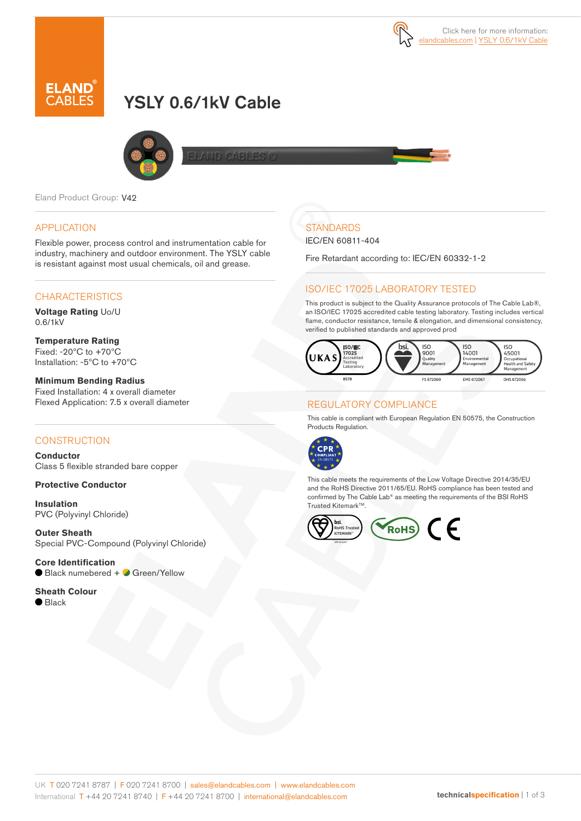

# YSLY 0.6/1kV Cable



Eland Product Group: V42

#### APPLICATION

Flexible power, process control and instrumentation cable for industry, machinery and outdoor environment. The YSLY cable is resistant against most usual chemicals, oil and grease.

## **CHARACTERISTICS**

**Voltage Rating** Uo/U 0.6/1kV

**Temperature Rating** Fixed: -20ºC to +70ºC Installation: -5ºC to +70ºC

**Minimum Bending Radius**  Fixed Installation: 4 x overall diameter Flexed Application: 7.5 x overall diameter

#### **CONSTRUCTION**

**Conductor** Class 5 flexible stranded bare copper

**Protective Conductor**

**Insulation** PVC (Polyvinyl Chloride)

**Outer Sheath** Special PVC-Compound (Polyvinyl Chloride)

**Core Identification** Black numebered + Green/Yellow

**Sheath Colour** ● Black

## **STANDARDS**

IEC/EN 60811-404

Fire Retardant according to: IEC/EN 60332-1-2

## ISO/IEC 17025 LABORATORY TESTED

This product is subject to the Quality Assurance protocols of The Cable Lab®, an ISO/IEC 17025 accredited cable testing laboratory. Testing includes vertical flame, conductor resistance, tensile & elongation, and dimensional consistency, verified to published standards and approved prod



### REGULATORY COMPLIANCE

This cable is compliant with European Regulation EN 50575, the Construction Products Regulation.



This cable meets the requirements of the Low Voltage Directive 2014/35/EU and the RoHS Directive 2011/65/EU. RoHS compliance has been tested and confirmed by The Cable Lab® as meeting the requirements of the BSI RoHS Trusted Kitemark<sup>™</sup>.

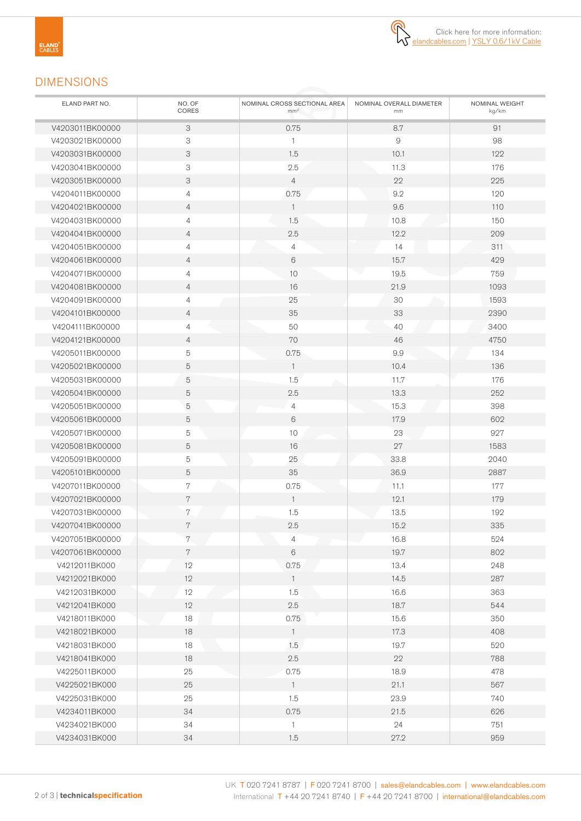⋒

## DIMENSIONS

| ELAND PART NO.  | NO. OF<br>CORES           | NOMINAL CROSS SECTIONAL AREA<br>mm <sup>2</sup> | NOMINAL OVERALL DIAMETER<br>mm | NOMINAL WEIGHT<br>kg/km |
|-----------------|---------------------------|-------------------------------------------------|--------------------------------|-------------------------|
| V4203011BK00000 | 3                         | 0.75                                            | 8.7                            | 91                      |
| V4203021BK00000 | 3                         | $\mathbf{1}$                                    | 9                              | 98                      |
| V4203031BK00000 | 3                         | 1.5                                             | 10.1                           | 122                     |
| V4203041BK00000 | 3                         | 2.5                                             | 11.3                           | 176                     |
| V4203051BK00000 | $\ensuremath{\mathsf{3}}$ | $\overline{4}$                                  | 22                             | 225                     |
| V4204011BK00000 | $\overline{4}$            | 0.75                                            | 9.2                            | 120                     |
| V4204021BK00000 | $\overline{4}$            | $\mathbf{1}$                                    | 9.6                            | 110                     |
| V4204031BK00000 | $\overline{4}$            | 1.5                                             | 10.8                           | 150                     |
| V4204041BK00000 | 4                         | 2.5                                             | 12.2                           | 209                     |
| V4204051BK00000 | $\overline{4}$            | $\overline{4}$                                  | 14                             | 311                     |
| V4204061BK00000 | 4                         | 6                                               | 15.7                           | 429                     |
| V4204071BK00000 | $\overline{4}$            | 10                                              | 19.5                           | 759                     |
| V4204081BK00000 | 4                         | 16                                              | 21.9                           | 1093                    |
| V4204091BK00000 | $\overline{4}$            | 25                                              | 30                             | 1593                    |
| V4204101BK00000 | $\overline{4}$            | 35                                              | 33                             | 2390                    |
| V4204111BK00000 | $\overline{4}$            | 50                                              | 40                             | 3400                    |
| V4204121BK00000 | $\overline{4}$            | 70                                              | 46                             | 4750                    |
| V4205011BK00000 | 5                         | 0.75                                            | 9.9                            | 134                     |
| V4205021BK00000 | 5                         | $\mathbf{1}$                                    | 10.4                           | 136                     |
| V4205031BK00000 | 5                         | 1.5                                             | 11.7                           | 176                     |
| V4205041BK00000 | $\mathbf 5$               | 2.5                                             | 13.3                           | 252                     |
| V4205051BK00000 | $\mathbf 5$               | $\overline{4}$                                  | 15.3                           | 398                     |
| V4205061BK00000 | 5                         | 6                                               | 17.9                           | 602                     |
| V4205071BK00000 | 5                         | 10                                              | 23                             | 927                     |
| V4205081BK00000 | 5                         | 16                                              | 27                             | 1583                    |
| V4205091BK00000 | 5                         | 25                                              | 33.8                           | 2040                    |
| V4205101BK00000 | 5                         | 35                                              | 36.9                           | 2887                    |
| V4207011BK00000 | 7                         | 0.75                                            | 11.1                           | 177                     |
| V4207021BK00000 | 7                         | $\overline{1}$                                  | 12.1                           | 179                     |
| V4207031BK00000 | 7                         | 1.5                                             | 13.5                           | 192                     |
| V4207041BK00000 | 7                         | 2.5                                             | 15.2                           | 335                     |
| V4207051BK00000 | 7                         | $\overline{4}$                                  | 16.8                           | 524                     |
| V4207061BK00000 | $7\phantom{.}$            | $\,6$                                           | 19.7                           | 802                     |
| V4212011BK000   | 12                        | 0.75                                            | 13.4                           | 248                     |
| V4212021BK000   | 12                        | $\overline{1}$                                  | 14.5                           | 287                     |
| V4212031BK000   | 12                        | 1.5                                             | 16.6                           | 363                     |
| V4212041BK000   | 12                        | 2.5                                             | 18.7                           | 544                     |
| V4218011BK000   | 18                        | 0.75                                            | 15.6                           | 350                     |
| V4218021BK000   | 18                        | $\overline{1}$                                  | 17.3                           | 408                     |
| V4218031BK000   | 18                        | 1.5                                             | 19.7                           | 520                     |
| V4218041BK000   | 18                        | 2.5                                             | 22                             | 788                     |
| V4225011BK000   | 25                        | 0.75                                            | 18.9                           | 478                     |
| V4225021BK000   | 25                        | $\overline{1}$                                  | 21.1                           | 567                     |
| V4225031BK000   | 25                        | 1.5                                             | 23.9                           | 740                     |
| V4234011BK000   | 34                        | 0.75                                            | 21.5                           | 626                     |
| V4234021BK000   | 34                        | $\mathbf{1}$                                    | 24                             | 751                     |
| V4234031BK000   | 34                        | 1.5                                             | 27.2                           | 959                     |